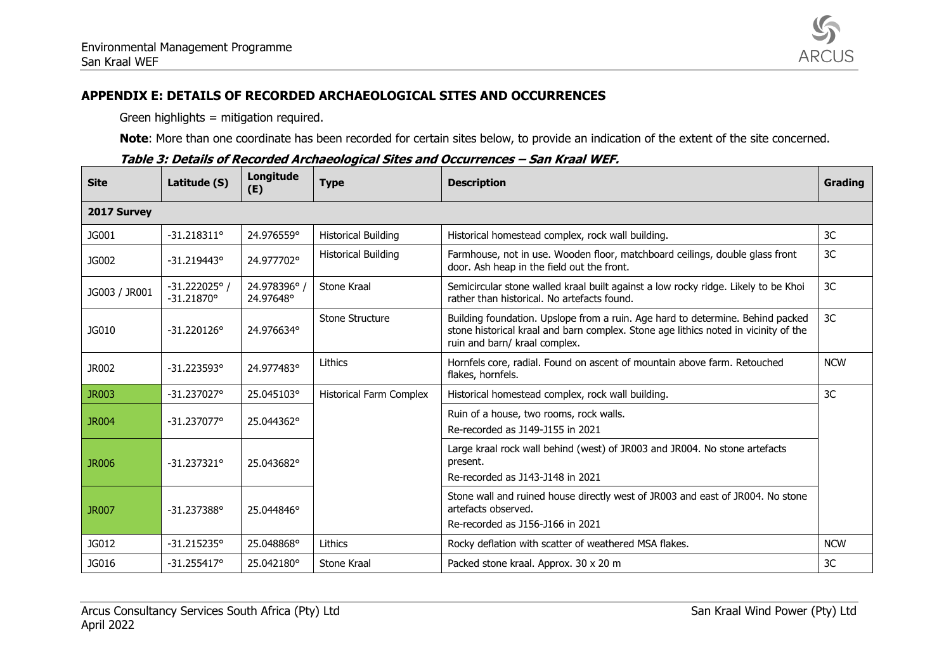

## **APPENDIX E: DETAILS OF RECORDED ARCHAEOLOGICAL SITES AND OCCURRENCES**

Green highlights = mitigation required.

**Note**: More than one coordinate has been recorded for certain sites below, to provide an indication of the extent of the site concerned.

| <b>Site</b>   | Latitude (S)                   | Longitude<br>(E)        | <b>Type</b>                    | <b>Description</b>                                                                                                                                                                                     | Grading    |
|---------------|--------------------------------|-------------------------|--------------------------------|--------------------------------------------------------------------------------------------------------------------------------------------------------------------------------------------------------|------------|
| 2017 Survey   |                                |                         |                                |                                                                                                                                                                                                        |            |
| JG001         | $-31.218311^{\circ}$           | 24.976559°              | <b>Historical Building</b>     | Historical homestead complex, rock wall building.                                                                                                                                                      | 3C         |
| JG002         | $-31.219443$ °                 | 24.977702°              | <b>Historical Building</b>     | Farmhouse, not in use. Wooden floor, matchboard ceilings, double glass front<br>door. Ash heap in the field out the front.                                                                             | 3C         |
| JG003 / JR001 | $-31.222025°/$<br>$-31.21870°$ | 24.978396°<br>24.97648° | Stone Kraal                    | Semicircular stone walled kraal built against a low rocky ridge. Likely to be Khoi<br>rather than historical. No artefacts found.                                                                      | 3C         |
| JG010         | $-31.220126^{\circ}$           | 24.976634°              | Stone Structure                | Building foundation. Upslope from a ruin. Age hard to determine. Behind packed<br>stone historical kraal and barn complex. Stone age lithics noted in vicinity of the<br>ruin and barn/ kraal complex. | 3C         |
| JR002         | $-31.223593^{\circ}$           | 24.977483°              | Lithics                        | Hornfels core, radial. Found on ascent of mountain above farm. Retouched<br>flakes, hornfels.                                                                                                          | <b>NCW</b> |
| <b>JR003</b>  | $-31.237027^{\circ}$           | 25.045103°              | <b>Historical Farm Complex</b> | Historical homestead complex, rock wall building.                                                                                                                                                      | 3C         |
| <b>JR004</b>  | $-31.237077^{\circ}$           | 25.044362°              |                                | Ruin of a house, two rooms, rock walls.<br>Re-recorded as J149-J155 in 2021                                                                                                                            |            |
| <b>JR006</b>  | $-31.237321^{\circ}$           | 25.043682°              |                                | Large kraal rock wall behind (west) of JR003 and JR004. No stone artefacts<br>present.<br>Re-recorded as J143-J148 in 2021                                                                             |            |
| <b>JR007</b>  | $-31.237388$ °                 | 25.044846°              |                                | Stone wall and ruined house directly west of JR003 and east of JR004. No stone<br>artefacts observed.<br>Re-recorded as J156-J166 in 2021                                                              |            |
| JG012         | $-31.215235°$                  | 25.048868°              | Lithics                        | Rocky deflation with scatter of weathered MSA flakes.                                                                                                                                                  | <b>NCW</b> |
| JG016         | $-31.255417°$                  | 25.042180°              | Stone Kraal                    | Packed stone kraal. Approx. 30 x 20 m                                                                                                                                                                  | 3C         |

|  | Table 3: Details of Recorded Archaeological Sites and Occurrences – San Kraal WEF. |
|--|------------------------------------------------------------------------------------|
|--|------------------------------------------------------------------------------------|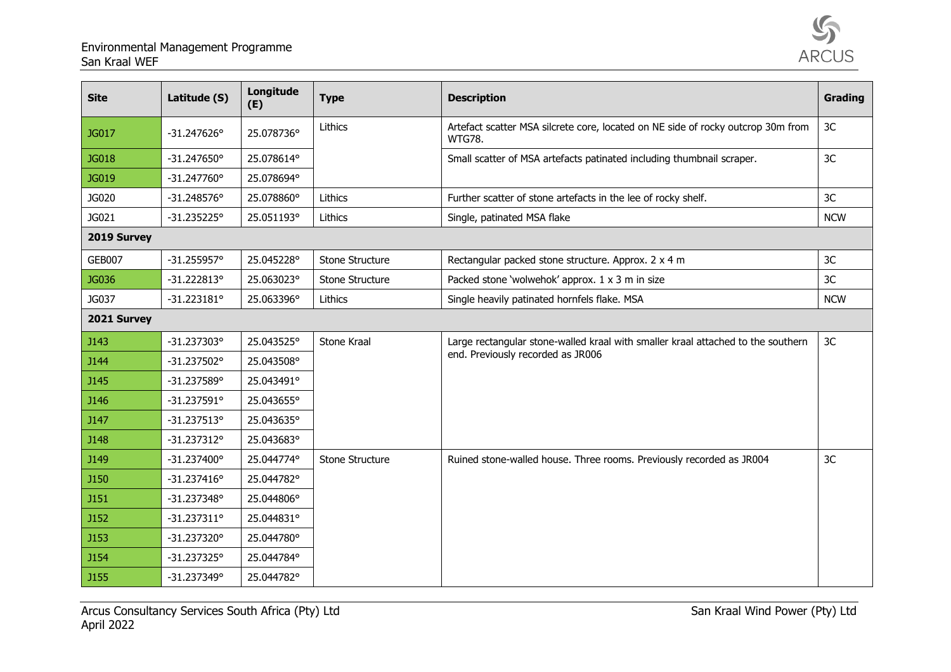

| <b>Site</b>   | Latitude (S)         | Longitude<br>(E) | <b>Type</b>     | <b>Description</b>                                                                                | Grading        |  |  |
|---------------|----------------------|------------------|-----------------|---------------------------------------------------------------------------------------------------|----------------|--|--|
| JG017         | $-31.247626°$        | 25.078736°       | Lithics         | Artefact scatter MSA silcrete core, located on NE side of rocky outcrop 30m from<br><b>WTG78.</b> | 3 <sub>C</sub> |  |  |
| JG018         | $-31.247650°$        | 25.078614°       |                 | Small scatter of MSA artefacts patinated including thumbnail scraper.                             | 3C             |  |  |
| JG019         | $-31.247760°$        | 25.078694°       |                 |                                                                                                   |                |  |  |
| JG020         | $-31.248576°$        | 25.078860°       | Lithics         | Further scatter of stone artefacts in the lee of rocky shelf.                                     | 3C             |  |  |
| JG021         | $-31.235225°$        | 25.051193°       | Lithics         | Single, patinated MSA flake                                                                       | <b>NCW</b>     |  |  |
| 2019 Survey   |                      |                  |                 |                                                                                                   |                |  |  |
| <b>GEB007</b> | $-31.255957°$        | 25.045228°       | Stone Structure | Rectangular packed stone structure. Approx. 2 x 4 m                                               | 3C             |  |  |
| JG036         | $-31.222813°$        | 25.063023°       | Stone Structure | Packed stone 'wolwehok' approx. 1 x 3 m in size                                                   | 3C             |  |  |
| JG037         | $-31.223181°$        | 25.063396°       | Lithics         | Single heavily patinated hornfels flake. MSA                                                      | <b>NCW</b>     |  |  |
| 2021 Survey   |                      |                  |                 |                                                                                                   |                |  |  |
| <b>J143</b>   | $-31.237303^{\circ}$ | 25.043525°       | Stone Kraal     | Large rectangular stone-walled kraal with smaller kraal attached to the southern                  | 3 <sub>C</sub> |  |  |
| <b>J144</b>   | $-31.237502^{\circ}$ | 25.043508°       |                 | end. Previously recorded as JR006                                                                 |                |  |  |
| <b>J145</b>   | $-31.237589°$        | 25.043491°       |                 |                                                                                                   |                |  |  |
| <b>J146</b>   | $-31.237591°$        | 25.043655°       |                 |                                                                                                   |                |  |  |
| <b>J147</b>   | $-31.237513^{\circ}$ | 25.043635°       |                 |                                                                                                   |                |  |  |
| <b>J148</b>   | $-31.237312^{\circ}$ | 25.043683°       |                 |                                                                                                   |                |  |  |
| <b>J149</b>   | $-31.237400^{\circ}$ | 25.044774°       | Stone Structure | Ruined stone-walled house. Three rooms. Previously recorded as JR004                              | 3C             |  |  |
| <b>J150</b>   | $-31.237416°$        | 25.044782°       |                 |                                                                                                   |                |  |  |
| <b>J151</b>   | $-31.237348°$        | 25.044806°       |                 |                                                                                                   |                |  |  |
| <b>J152</b>   | $-31.237311^{\circ}$ | 25.044831°       |                 |                                                                                                   |                |  |  |
| <b>J153</b>   | $-31.237320^{\circ}$ | 25.044780°       |                 |                                                                                                   |                |  |  |
| <b>J154</b>   | $-31.237325^{\circ}$ | 25.044784°       |                 |                                                                                                   |                |  |  |
| <b>J155</b>   | $-31.237349°$        | 25.044782°       |                 |                                                                                                   |                |  |  |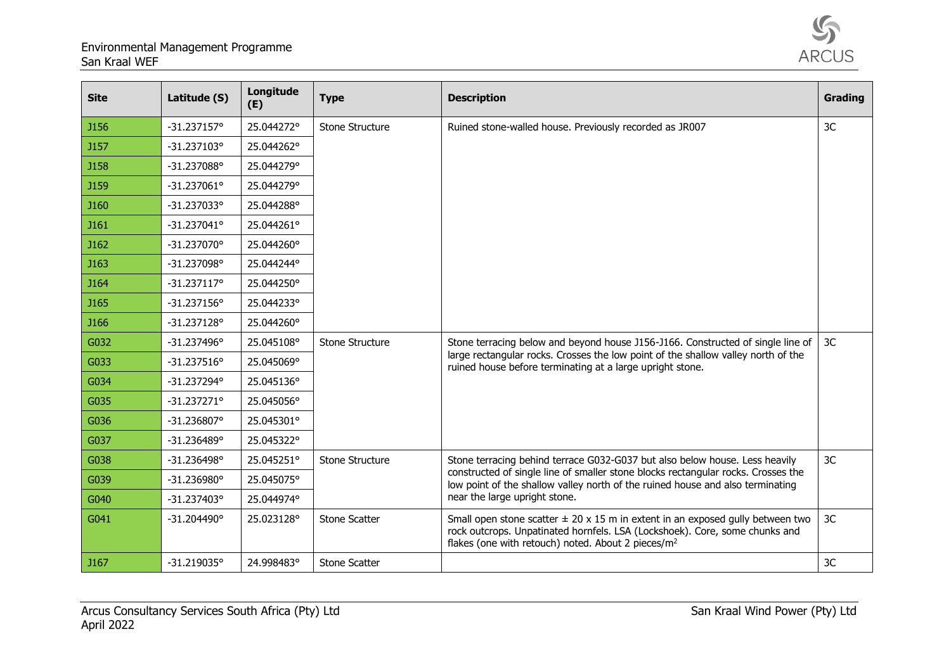

| <b>Site</b> | Latitude (S)         | Longitude<br>(E) | <b>Type</b>          | <b>Description</b>                                                                                                                                                                                                                                                                  | Grading |
|-------------|----------------------|------------------|----------------------|-------------------------------------------------------------------------------------------------------------------------------------------------------------------------------------------------------------------------------------------------------------------------------------|---------|
| <b>J156</b> | $-31.237157°$        | 25.044272°       | Stone Structure      | Ruined stone-walled house. Previously recorded as JR007                                                                                                                                                                                                                             | 3C      |
| <b>J157</b> | $-31.237103$ °       | 25.044262°       |                      |                                                                                                                                                                                                                                                                                     |         |
| <b>J158</b> | -31.237088°          | 25.044279°       |                      |                                                                                                                                                                                                                                                                                     |         |
| <b>J159</b> | $-31.237061$ °       | 25.044279°       |                      |                                                                                                                                                                                                                                                                                     |         |
| <b>J160</b> | -31.237033°          | 25.044288°       |                      |                                                                                                                                                                                                                                                                                     |         |
| J161        | $-31.237041$ °       | 25.044261°       |                      |                                                                                                                                                                                                                                                                                     |         |
| J162        | $-31.237070^{\circ}$ | 25.044260°       |                      |                                                                                                                                                                                                                                                                                     |         |
| J163        | -31.237098°          | 25.044244°       |                      |                                                                                                                                                                                                                                                                                     |         |
| <b>J164</b> | $-31.237117°$        | 25.044250°       |                      |                                                                                                                                                                                                                                                                                     |         |
| J165        | $-31.237156°$        | 25.044233°       |                      |                                                                                                                                                                                                                                                                                     |         |
| <b>J166</b> | $-31.237128°$        | 25.044260°       |                      |                                                                                                                                                                                                                                                                                     |         |
| G032        | $-31.237496°$        | 25.045108°       | Stone Structure      | Stone terracing below and beyond house J156-J166. Constructed of single line of<br>large rectangular rocks. Crosses the low point of the shallow valley north of the<br>ruined house before terminating at a large upright stone.                                                   | 3C      |
| G033        | $-31.237516°$        | 25.045069°       |                      |                                                                                                                                                                                                                                                                                     |         |
| G034        | $-31.237294°$        | 25.045136°       |                      |                                                                                                                                                                                                                                                                                     |         |
| G035        | $-31.237271°$        | 25.045056°       |                      |                                                                                                                                                                                                                                                                                     |         |
| G036        | -31.236807°          | 25.045301°       |                      |                                                                                                                                                                                                                                                                                     |         |
| G037        | $-31.236489°$        | 25.045322°       |                      |                                                                                                                                                                                                                                                                                     |         |
| G038        | $-31.236498°$        | 25.045251°       | Stone Structure      | Stone terracing behind terrace G032-G037 but also below house. Less heavily<br>constructed of single line of smaller stone blocks rectangular rocks. Crosses the<br>low point of the shallow valley north of the ruined house and also terminating<br>near the large upright stone. | 3C      |
| G039        | $-31.236980°$        | 25.045075°       |                      |                                                                                                                                                                                                                                                                                     |         |
| G040        | $-31.237403^{\circ}$ | 25.044974°       |                      |                                                                                                                                                                                                                                                                                     |         |
| G041        | $-31.204490^{\circ}$ | 25.023128°       | <b>Stone Scatter</b> | Small open stone scatter $\pm$ 20 x 15 m in extent in an exposed gully between two<br>rock outcrops. Unpatinated hornfels. LSA (Lockshoek). Core, some chunks and<br>flakes (one with retouch) noted. About 2 pieces/m <sup>2</sup>                                                 | 3C      |
| J167        | $-31.219035°$        | 24.998483°       | <b>Stone Scatter</b> |                                                                                                                                                                                                                                                                                     | 3C      |